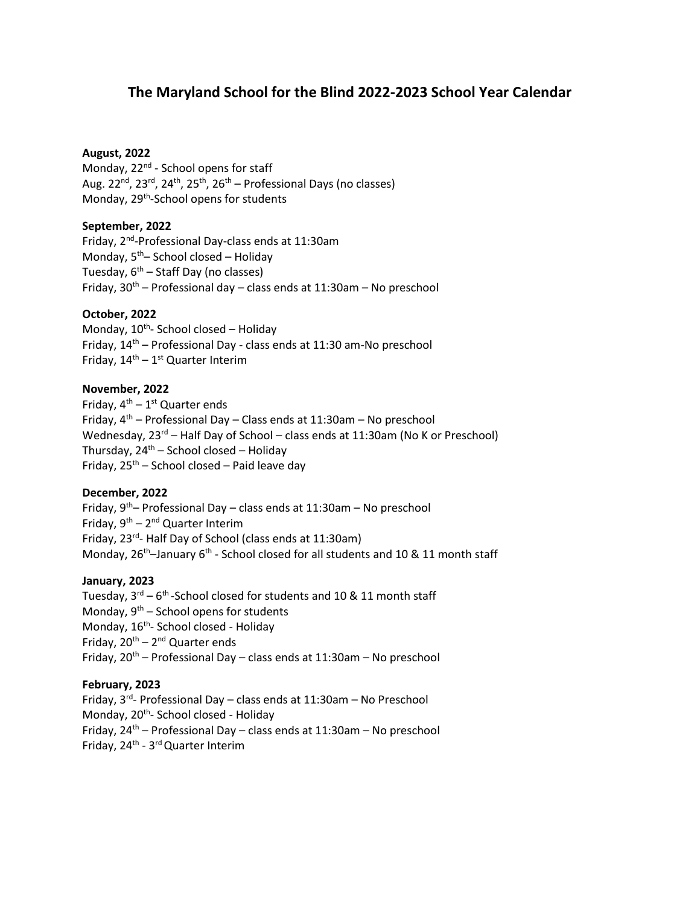# **The Maryland School for the Blind 2022-2023 School Year Calendar**

# **August, 2022**

Monday, 22<sup>nd</sup> - School opens for staff Aug. 22<sup>nd</sup>, 23<sup>rd</sup>, 24<sup>th</sup>, 25<sup>th</sup>, 26<sup>th</sup> – Professional Days (no classes) Monday, 29<sup>th</sup>-School opens for students

# **September, 2022**

Friday, 2<sup>nd</sup>-Professional Day-class ends at 11:30am Monday, 5<sup>th</sup> – School closed – Holiday Tuesday,  $6<sup>th</sup>$  – Staff Day (no classes) Friday,  $30<sup>th</sup>$  – Professional day – class ends at 11:30am – No preschool

# **October, 2022**

Monday, 10<sup>th</sup>- School closed - Holiday Friday, 14th – Professional Day - class ends at 11:30 am-No preschool Friday, 14<sup>th</sup> – 1<sup>st</sup> Quarter Interim

### **November, 2022**

Friday,  $4^{th} - 1^{st}$  Quarter ends Friday,  $4<sup>th</sup>$  – Professional Day – Class ends at 11:30am – No preschool Wednesday, 23<sup>rd</sup> – Half Day of School – class ends at 11:30am (No K or Preschool) Thursday, 24<sup>th</sup> – School closed – Holiday Friday, 25<sup>th</sup> – School closed – Paid leave day

## **December, 2022**

Friday,  $9<sup>th</sup>$ – Professional Day – class ends at 11:30am – No preschool Friday, 9<sup>th</sup> – 2<sup>nd</sup> Quarter Interim Friday, 23<sup>rd</sup>- Half Day of School (class ends at 11:30am) Monday, 26<sup>th</sup>-January 6<sup>th</sup> - School closed for all students and 10 & 11 month staff

### **January, 2023**

Tuesday, 3<sup>rd</sup> – 6<sup>th</sup>-School closed for students and 10 & 11 month staff Monday, 9<sup>th</sup> – School opens for students Monday, 16<sup>th</sup>- School closed - Holiday Friday, 20<sup>th</sup> – 2<sup>nd</sup> Quarter ends Friday,  $20^{th}$  – Professional Day – class ends at 11:30am – No preschool

### **February, 2023**

Friday, 3<sup>rd</sup>- Professional Day – class ends at 11:30am – No Preschool Monday, 20<sup>th</sup>- School closed - Holiday Friday,  $24^{th}$  – Professional Day – class ends at 11:30am – No preschool Friday, 24<sup>th</sup> - 3<sup>rd</sup> Quarter Interim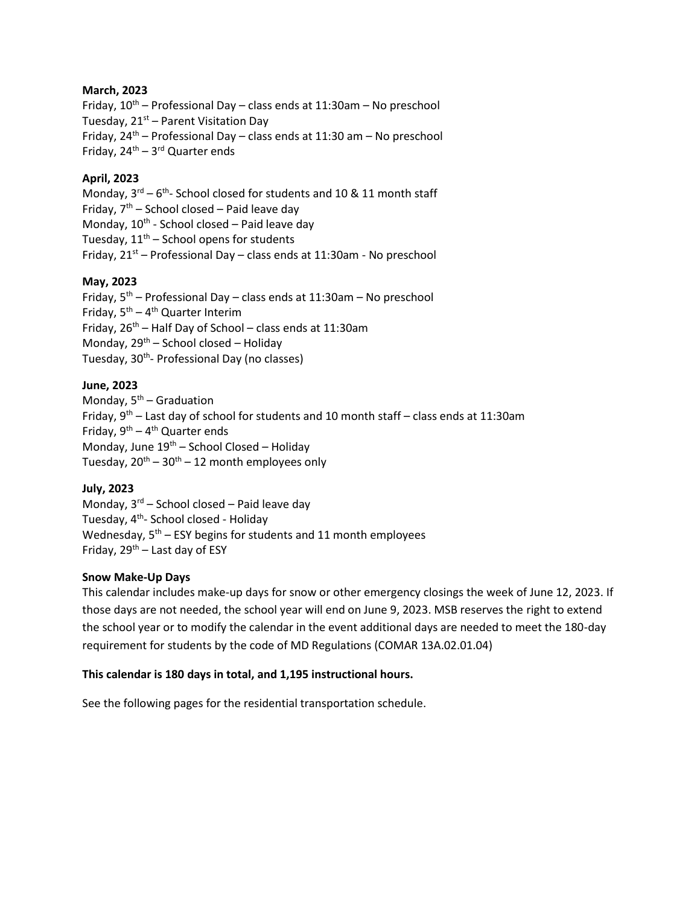# **March, 2023**

Friday,  $10^{th}$  – Professional Day – class ends at 11:30am – No preschool Tuesday,  $21<sup>st</sup>$  – Parent Visitation Day Friday,  $24^{th}$  – Professional Day – class ends at 11:30 am – No preschool Friday, 24<sup>th</sup> – 3<sup>rd</sup> Quarter ends

# **April, 2023**

Monday,  $3^{\text{rd}} - 6^{\text{th}}$ - School closed for students and 10 & 11 month staff Friday,  $7<sup>th</sup>$  – School closed – Paid leave day Monday, 10<sup>th</sup> - School closed – Paid leave day Tuesday,  $11<sup>th</sup>$  – School opens for students Friday,  $21^{st}$  – Professional Day – class ends at 11:30am - No preschool

# **May, 2023**

Friday, 5<sup>th</sup> – Professional Day – class ends at 11:30am – No preschool Friday,  $5<sup>th</sup> - 4<sup>th</sup>$  Quarter Interim Friday, 26<sup>th</sup> – Half Day of School – class ends at 11:30am Monday,  $29^{th}$  – School closed – Holiday Tuesday, 30<sup>th</sup>- Professional Day (no classes)

# **June, 2023**

Monday,  $5<sup>th</sup>$  – Graduation Friday,  $9<sup>th</sup>$  – Last day of school for students and 10 month staff – class ends at 11:30am Friday, 9<sup>th</sup> – 4<sup>th</sup> Quarter ends Monday, June  $19^{th}$  – School Closed – Holiday Tuesday,  $20^{th} - 30^{th} - 12$  month employees only

# **July, 2023**

Monday,  $3^{rd}$  – School closed – Paid leave day Tuesday, 4<sup>th</sup>- School closed - Holiday Wednesday,  $5<sup>th</sup>$  – ESY begins for students and 11 month employees Friday, 29<sup>th</sup> – Last day of ESY

## **Snow Make-Up Days**

This calendar includes make-up days for snow or other emergency closings the week of June 12, 2023. If those days are not needed, the school year will end on June 9, 2023. MSB reserves the right to extend the school year or to modify the calendar in the event additional days are needed to meet the 180-day requirement for students by the code of MD Regulations (COMAR 13A.02.01.04)

### **This calendar is 180 days in total, and 1,195 instructional hours.**

See the following pages for the residential transportation schedule.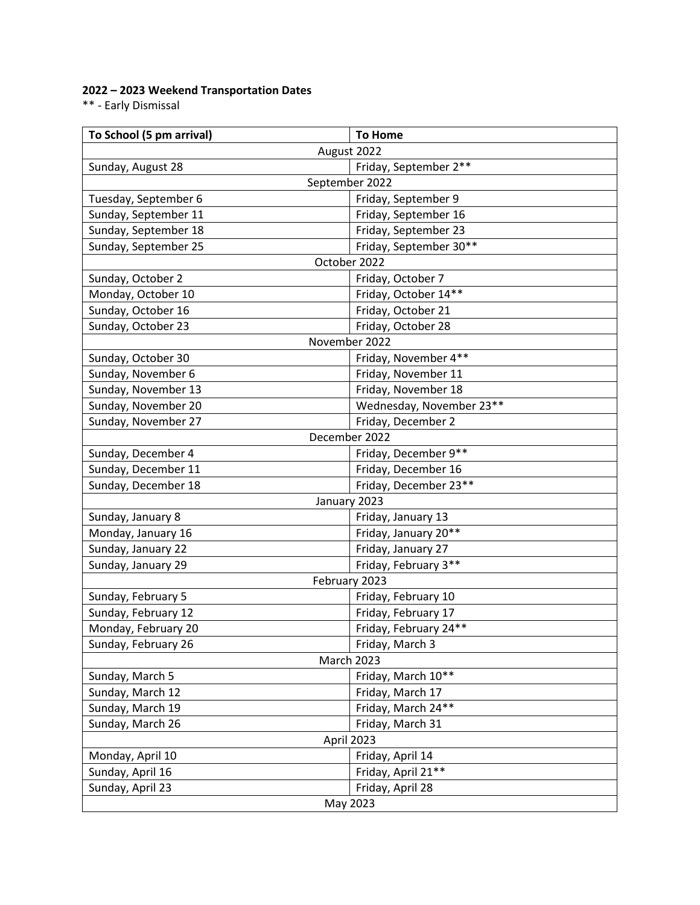# **2022 – 2023 Weekend Transportation Dates**

\*\* - Early Dismissal

| To School (5 pm arrival)                   | <b>To Home</b>           |
|--------------------------------------------|--------------------------|
| August 2022                                |                          |
| Friday, September 2**<br>Sunday, August 28 |                          |
| September 2022                             |                          |
| Tuesday, September 6                       | Friday, September 9      |
| Sunday, September 11                       | Friday, September 16     |
| Sunday, September 18                       | Friday, September 23     |
| Sunday, September 25                       | Friday, September 30**   |
| October 2022                               |                          |
| Sunday, October 2                          | Friday, October 7        |
| Monday, October 10                         | Friday, October 14**     |
| Sunday, October 16                         | Friday, October 21       |
| Sunday, October 23                         | Friday, October 28       |
| November 2022                              |                          |
| Sunday, October 30                         | Friday, November 4**     |
| Sunday, November 6                         | Friday, November 11      |
| Sunday, November 13                        | Friday, November 18      |
| Sunday, November 20                        | Wednesday, November 23** |
| Sunday, November 27                        | Friday, December 2       |
| December 2022                              |                          |
| Sunday, December 4                         | Friday, December 9**     |
| Sunday, December 11                        | Friday, December 16      |
| Sunday, December 18                        | Friday, December 23**    |
| January 2023                               |                          |
| Sunday, January 8                          | Friday, January 13       |
| Monday, January 16                         | Friday, January 20**     |
| Sunday, January 22                         | Friday, January 27       |
| Sunday, January 29                         | Friday, February 3**     |
| February 2023                              |                          |
| Sunday, February 5                         | Friday, February 10      |
| Sunday, February 12                        | Friday, February 17      |
| Monday, February 20                        | Friday, February 24**    |
| Sunday, February 26                        | Friday, March 3          |
| March 2023                                 |                          |
| Sunday, March 5                            | Friday, March 10**       |
| Sunday, March 12                           | Friday, March 17         |
| Sunday, March 19                           | Friday, March 24**       |
| Sunday, March 26                           | Friday, March 31         |
| April 2023                                 |                          |
| Monday, April 10                           | Friday, April 14         |
| Sunday, April 16                           | Friday, April 21**       |
| Sunday, April 23                           | Friday, April 28         |
| May 2023                                   |                          |